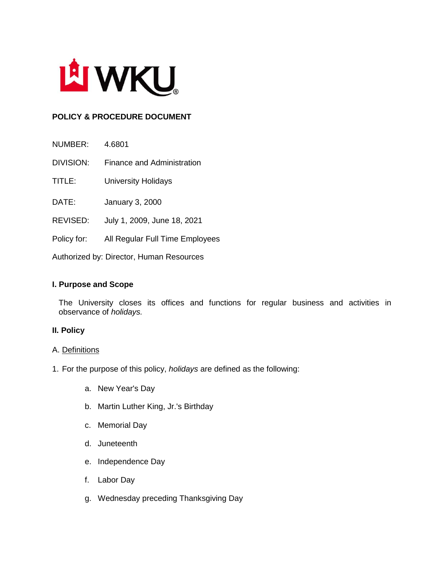

# **POLICY & PROCEDURE DOCUMENT**

NUMBER: 4.6801

DIVISION: Finance and Administration

TITLE: University Holidays

DATE: January 3, 2000

- REVISED: July 1, 2009, June 18, 2021
- Policy for: All Regular Full Time Employees

Authorized by: Director, Human Resources

#### **I. Purpose and Scope**

The University closes its offices and functions for regular business and activities in observance of *holidays.*

#### **II. Policy**

#### A. Definitions

- 1. For the purpose of this policy, *holidays* are defined as the following:
	- a. New Year's Day
	- b. Martin Luther King, Jr.'s Birthday
	- c. Memorial Day
	- d. Juneteenth
	- e. Independence Day
	- f. Labor Day
	- g. Wednesday preceding Thanksgiving Day